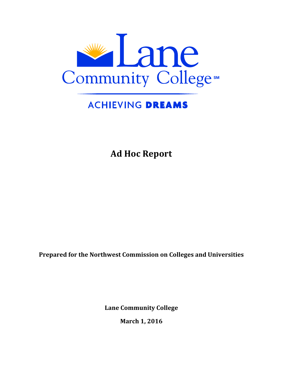

# **ACHIEVING DREAMS**

**Ad Hoc Report**

**Prepared for the Northwest Commission on Colleges and Universities** 

**Lane Community College**

**March 1, 2016**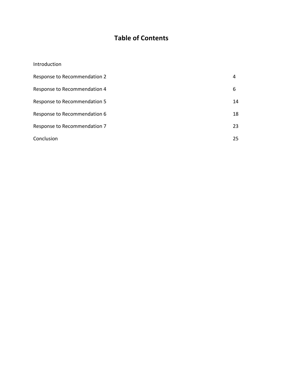# **Table of Contents**

| Introduction                 |    |
|------------------------------|----|
| Response to Recommendation 2 | 4  |
| Response to Recommendation 4 | 6  |
| Response to Recommendation 5 | 14 |
| Response to Recommendation 6 | 18 |
| Response to Recommendation 7 | 23 |
| Conclusion                   | 25 |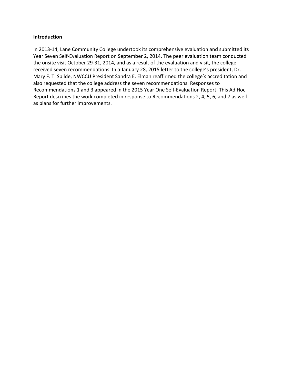#### **Introduction**

In 2013-14, Lane Community College undertook its comprehensive evaluation and submitted its Year Seven Self-Evaluation Report on September 2, 2014. The peer evaluation team conducted the onsite visit October 29-31, 2014, and as a result of the evaluation and visit, the college received seven recommendations. In a January 28, 2015 letter to the college's president, Dr. Mary F. T. Spilde, NWCCU President Sandra E. Elman reaffirmed the college's accreditation and also requested that the college address the seven recommendations. Responses to Recommendations 1 and 3 appeared in the 2015 Year One Self-Evaluation Report. This Ad Hoc Report describes the work completed in response to Recommendations 2, 4, 5, 6, and 7 as well as plans for further improvements.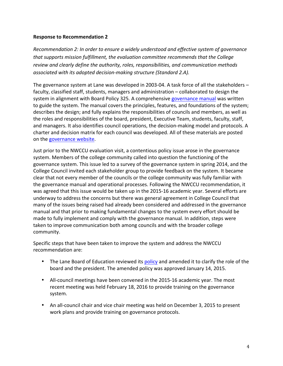*Recommendation 2: In order to ensure a widely understood and effective system of governance that supports mission fulfillment, the evaluation committee recommends that the College* review and clearly define the authority, roles, responsibilities, and communication methods *associated with its adopted decision-making structure (Standard 2.A).* 

The governance system at Lane was developed in 2003-04. A task force of all the stakeholders  $$ faculty, classified staff, students, managers and administration - collaborated to design the system in alignment with Board Policy 325. A comprehensive governance manual was written to guide the system. The manual covers the principles, features, and foundations of the system; describes the design; and fully explains the responsibilities of councils and members, as well as the roles and responsibilities of the board, president, Executive Team, students, faculty, staff, and managers. It also identifies council operations, the decision-making model and protocols. A charter and decision matrix for each council was developed. All of these materials are posted on the governance website.

Just prior to the NWCCU evaluation visit, a contentious policy issue arose in the governance system. Members of the college community called into question the functioning of the governance system. This issue led to a survey of the governance system in spring 2014, and the College Council invited each stakeholder group to provide feedback on the system. It became clear that not every member of the councils or the college community was fully familiar with the governance manual and operational processes. Following the NWCCU recommendation, it was agreed that this issue would be taken up in the 2015-16 academic year. Several efforts are underway to address the concerns but there was general agreement in College Council that many of the issues being raised had already been considered and addressed in the governance manual and that prior to making fundamental changes to the system every effort should be made to fully implement and comply with the governance manual. In addition, steps were taken to improve communication both among councils and with the broader college community. 

Specific steps that have been taken to improve the system and address the NWCCU recommendation are:

- The Lane Board of Education reviewed its policy and amended it to clarify the role of the board and the president. The amended policy was approved January 14, 2015.
- All-council meetings have been convened in the 2015-16 academic year. The most recent meeting was held February 18, 2016 to provide training on the governance system.
- An all-council chair and vice chair meeting was held on December 3, 2015 to present work plans and provide training on governance protocols.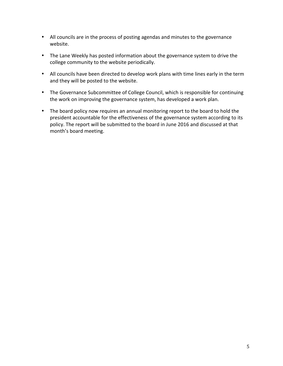- All councils are in the process of posting agendas and minutes to the governance website.
- The Lane Weekly has posted information about the governance system to drive the college community to the website periodically.
- All councils have been directed to develop work plans with time lines early in the term and they will be posted to the website.
- The Governance Subcommittee of College Council, which is responsible for continuing the work on improving the governance system, has developed a work plan.
- The board policy now requires an annual monitoring report to the board to hold the president accountable for the effectiveness of the governance system according to its policy. The report will be submitted to the board in June 2016 and discussed at that month's board meeting.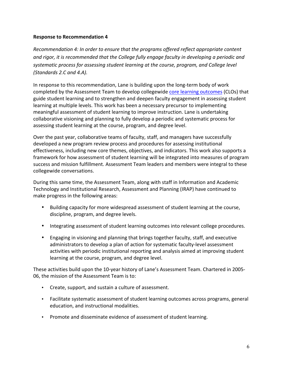*Recommendation 4: In order to ensure that the programs offered reflect appropriate content* and rigor, it is recommended that the College fully engage faculty in developing a periodic and systematic process for assessing student learning at the course, program, and College level *(Standards 2.C and 4.A).*

In response to this recommendation, Lane is building upon the long-term body of work completed by the Assessment Team to develop collegewide core learning outcomes (CLOs) that guide student learning and to strengthen and deepen faculty engagement in assessing student learning at multiple levels. This work has been a necessary precursor to implementing meaningful assessment of student learning to improve instruction. Lane is undertaking collaborative visioning and planning to fully develop a periodic and systematic process for assessing student learning at the course, program, and degree level.

Over the past year, collaborative teams of faculty, staff, and managers have successfully developed a new program review process and procedures for assessing institutional effectiveness, including new core themes, objectives, and indicators. This work also supports a framework for how assessment of student learning will be integrated into measures of program success and mission fulfillment. Assessment Team leaders and members were integral to these collegewide conversations.

During this same time, the Assessment Team, along with staff in Information and Academic Technology and Institutional Research, Assessment and Planning (IRAP) have continued to make progress in the following areas:

- Building capacity for more widespread assessment of student learning at the course, discipline, program, and degree levels.
- Integrating assessment of student learning outcomes into relevant college procedures.
- Engaging in visioning and planning that brings together faculty, staff, and executive administrators to develop a plan of action for systematic faculty-level assessment activities with periodic institutional reporting and analysis aimed at improving student learning at the course, program, and degree level.

These activities build upon the 10-year history of Lane's Assessment Team. Chartered in 2005-06, the mission of the Assessment Team is to:

- Create, support, and sustain a culture of assessment.
- Facilitate systematic assessment of student learning outcomes across programs, general education, and instructional modalities.
- Promote and disseminate evidence of assessment of student learning.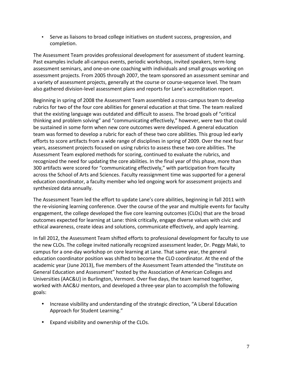• Serve as liaisons to broad college initiatives on student success, progression, and completion. 

The Assessment Team provides professional development for assessment of student learning. Past examples include all-campus events, periodic workshops, invited speakers, term-long assessment seminars, and one-on-one coaching with individuals and small groups working on assessment projects. From 2005 through 2007, the team sponsored an assessment seminar and a variety of assessment projects, generally at the course or course-sequence level. The team also gathered division-level assessment plans and reports for Lane's accreditation report.

Beginning in spring of 2008 the Assessment Team assembled a cross-campus team to develop rubrics for two of the four core abilities for general education at that time. The team realized that the existing language was outdated and difficult to assess. The broad goals of "critical thinking and problem solving" and "communicating effectively," however, were two that could be sustained in some form when new core outcomes were developed. A general education team was formed to develop a rubric for each of these two core abilities. This group led early efforts to score artifacts from a wide range of disciplines in spring of 2009. Over the next four years, assessment projects focused on using rubrics to assess these two core abilities. The Assessment Team explored methods for scoring, continued to evaluate the rubrics, and recognized the need for updating the core abilities. In the final year of this phase, more than 300 artifacts were scored for "communicating effectively," with participation from faculty across the School of Arts and Sciences. Faculty reassignment time was supported for a general education coordinator, a faculty member who led ongoing work for assessment projects and synthesized data annually.

The Assessment Team led the effort to update Lane's core abilities, beginning in fall 2011 with the re-visioning learning conference. Over the course of the year and multiple events for faculty engagement, the college developed the five core learning outcomes (CLOs) that are the broad outcomes expected for learning at Lane: think critically, engage diverse values with civic and ethical awareness, create ideas and solutions, communicate effectively, and apply learning.

In fall 2012, the Assessment Team shifted efforts to professional development for faculty to use the new CLOs. The college invited nationally recognized assessment leader, Dr. Peggy Maki, to campus for a one-day workshop on core learning at Lane. That same year, the general education coordinator position was shifted to become the CLO coordinator. At the end of the academic year (June 2013), five members of the Assessment Team attended the "Institute on General Education and Assessment" hosted by the Association of American Colleges and Universities (AAC&U) in Burlington, Vermont. Over five days, the team learned together, worked with AAC&U mentors, and developed a three-year plan to accomplish the following goals:

- Increase visibility and understanding of the strategic direction, "A Liberal Education Approach for Student Learning."
- Expand visibility and ownership of the CLOs.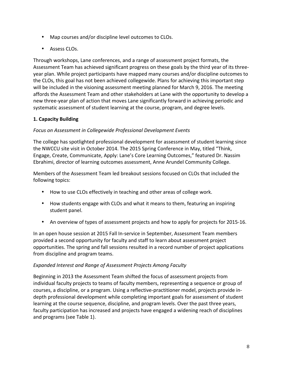- Map courses and/or discipline level outcomes to CLOs.
- Assess CLOs.

Through workshops, Lane conferences, and a range of assessment project formats, the Assessment Team has achieved significant progress on these goals by the third year of its threeyear plan. While project participants have mapped many courses and/or discipline outcomes to the CLOs, this goal has not been achieved collegewide. Plans for achieving this important step will be included in the visioning assessment meeting planned for March 9, 2016. The meeting affords the Assessment Team and other stakeholders at Lane with the opportunity to develop a new three-year plan of action that moves Lane significantly forward in achieving periodic and systematic assessment of student learning at the course, program, and degree levels.

# **1. Capacity Building**

# *Focus on Assessment in Collegewide Professional Development Events*

The college has spotlighted professional development for assessment of student learning since the NWCCU site visit in October 2014. The 2015 Spring Conference in May, titled "Think, Engage, Create, Communicate, Apply: Lane's Core Learning Outcomes," featured Dr. Nassim Ebrahimi, director of learning outcomes assessment, Anne Arundel Community College.

Members of the Assessment Team led breakout sessions focused on CLOs that included the following topics:

- How to use CLOs effectively in teaching and other areas of college work.
- How students engage with CLOs and what it means to them, featuring an inspiring student panel.
- An overview of types of assessment projects and how to apply for projects for 2015-16.

In an open house session at 2015 Fall In-service in September, Assessment Team members provided a second opportunity for faculty and staff to learn about assessment project opportunities. The spring and fall sessions resulted in a record number of project applications from discipline and program teams.

# **Expanded Interest and Range of Assessment Projects Among Faculty**

Beginning in 2013 the Assessment Team shifted the focus of assessment projects from individual faculty projects to teams of faculty members, representing a sequence or group of courses, a discipline, or a program. Using a reflective-practitioner model, projects provide indepth professional development while completing important goals for assessment of student learning at the course sequence, discipline, and program levels. Over the past three years, faculty participation has increased and projects have engaged a widening reach of disciplines and programs (see Table 1).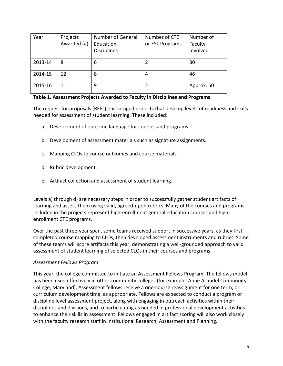| Year    | Projects<br>Awarded (#) | Number of General<br>Education<br><b>Disciplines</b> | Number of CTE<br>or ESL Programs | Number of<br>Faculty<br>Involved |
|---------|-------------------------|------------------------------------------------------|----------------------------------|----------------------------------|
| 2013-14 | 8                       | 6                                                    |                                  | 30                               |
| 2014-15 | 12                      | 8                                                    | 4                                | 46                               |
| 2015-16 | 11                      | 9                                                    | 2                                | Approx. 50                       |

#### **Table 1. Assessment Projects Awarded to Faculty in Disciplines and Programs**

The request for proposals (RFPs) encouraged projects that develop levels of readiness and skills needed for assessment of student learning. These included:

- a. Development of outcome language for courses and programs.
- b. Development of assessment materials such as signature assignments.
- c. Mapping CLOs to course outcomes and course materials.
- d. Rubric development.
- e. Artifact collection and assessment of student learning.

Levels a) through d) are necessary steps in order to successfully gather student artifacts of learning and assess them using valid, agreed-upon rubrics. Many of the courses and programs included in the projects represent high-enrollment general education courses and highenrollment CTE programs.

Over the past three-year span, some teams received support in successive years, as they first completed course mapping to CLOs, then developed assessment instruments and rubrics. Some of these teams will score artifacts this year, demonstrating a well-grounded approach to valid assessment of student learning of selected CLOs in their courses and programs.

#### *Assessment Fellows Program*

This year, the college committed to initiate an Assessment Fellows Program. The fellows model has been used effectively in other community colleges (for example, Anne Arundel Community College, Maryland). Assessment fellows receive a one-course reassignment for one term, or curriculum development time, as appropriate. Fellows are expected to conduct a program or discipline level assessment project, along with engaging in outreach activities within their disciplines and divisions, and to participating as needed in professional development activities to enhance their skills in assessment. Fellows engaged in artifact scoring will also work closely with the faculty research staff in Institutional Research, Assessment and Planning.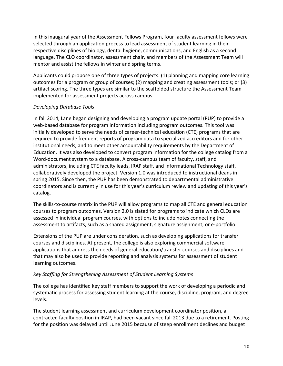In this inaugural year of the Assessment Fellows Program, four faculty assessment fellows were selected through an application process to lead assessment of student learning in their respective disciplines of biology, dental hygiene, communications, and English as a second language. The CLO coordinator, assessment chair, and members of the Assessment Team will mentor and assist the fellows in winter and spring terms.

Applicants could propose one of three types of projects: (1) planning and mapping core learning outcomes for a program or group of courses;  $(2)$  mapping and creating assessment tools; or  $(3)$ artifact scoring. The three types are similar to the scaffolded structure the Assessment Team implemented for assessment projects across campus.

# *Developing Database Tools*

In fall 2014, Lane began designing and developing a program update portal (PUP) to provide a web-based database for program information including program outcomes. This tool was initially developed to serve the needs of career-technical education (CTE) programs that are required to provide frequent reports of program data to specialized accreditors and for other institutional needs, and to meet other accountability requirements by the Department of Education. It was also developed to convert program information for the college catalog from a Word-document system to a database. A cross-campus team of faculty, staff, and administrators, including CTE faculty leads, IRAP staff, and Informational Technology staff, collaboratively developed the project. Version 1.0 was introduced to instructional deans in spring 2015. Since then, the PUP has been demonstrated to departmental administrative coordinators and is currently in use for this year's curriculum review and updating of this year's catalog. 

The skills-to-course matrix in the PUP will allow programs to map all CTE and general education courses to program outcomes. Version 2.0 is slated for programs to indicate which CLOs are assessed in individual program courses, with options to include notes connecting the assessment to artifacts, such as a shared assignment, signature assignment, or e-portfolio.

Extensions of the PUP are under consideration, such as developing applications for transfer courses and disciplines. At present, the college is also exploring commercial software applications that address the needs of general education/transfer courses and disciplines and that may also be used to provide reporting and analysis systems for assessment of student learning outcomes.

# *Key Staffing for Strengthening Assessment of Student Learning Systems*

The college has identified key staff members to support the work of developing a periodic and systematic process for assessing student learning at the course, discipline, program, and degree levels. 

The student learning assessment and curriculum development coordinator position, a contracted faculty position in IRAP, had been vacant since fall 2013 due to a retirement. Posting for the position was delayed until June 2015 because of steep enrollment declines and budget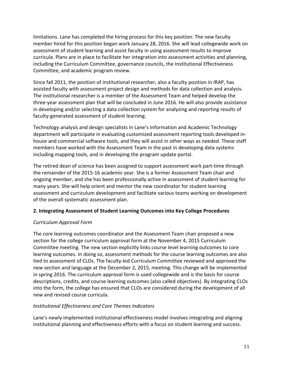limitations. Lane has completed the hiring process for this key position. The new faculty member hired for this position began work January 28, 2016. She will lead collegewide work on assessment of student learning and assist faculty in using assessment results to improve curricula. Plans are in place to facilitate her integration into assessment activities and planning, including the Curriculum Committee, governance councils, the Institutional Effectiveness Committee, and academic program review.

Since fall 2011, the position of institutional researcher, also a faculty position in IRAP, has assisted faculty with assessment project design and methods for data collection and analysis. The institutional researcher is a member of the Assessment Team and helped develop the three-year assessment plan that will be concluded in June 2016. He will also provide assistance in developing and/or selecting a data collection system for analyzing and reporting results of faculty-generated assessment of student learning.

Technology analysis and design specialists in Lane's Information and Academic Technology department will participate in evaluating customized assessment reporting tools developed inhouse and commercial software tools, and they will assist in other ways as needed. These staff members have worked with the Assessment Team in the past in developing data systems including mapping tools, and in developing the program update portal.

The retired dean of science has been assigned to support assessment work part-time through the remainder of the 2015-16 academic year. She is a former Assessment Team chair and ongoing member, and she has been professionally active in assessment of student learning for many years. She will help orient and mentor the new coordinator for student learning assessment and curriculum development and facilitate various teams working on development of the overall systematic assessment plan.

# **2. Integrating Assessment of Student Learning Outcomes into Key College Procedures**

# *Curriculum Approval Form*

The core learning outcomes coordinator and the Assessment Team chair proposed a new section for the college curriculum approval form at the November 4, 2015 Curriculum Committee meeting. The new section explicitly links course level learning outcomes to core learning outcomes. In doing so, assessment methods for the course learning outcomes are also tied to assessment of CLOs. The faculty-led Curriculum Committee reviewed and approved the new section and language at the December 2, 2015, meeting. This change will be implemented in spring 2016. The curriculum approval form is used collegewide and is the basis for course descriptions, credits, and course learning outcomes (also called objectives). By integrating CLOs into the form, the college has ensured that CLOs are considered during the development of all new and revised course curricula.

# *Institutional Effectiveness and Core Themes Indicators*

Lane's newly implemented institutional effectiveness model involves integrating and aligning institutional planning and effectiveness efforts with a focus on student learning and success.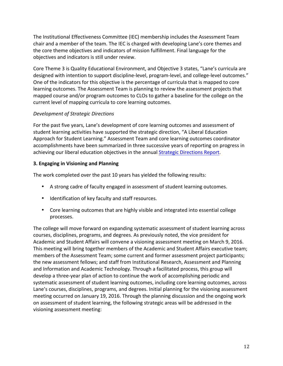The Institutional Effectiveness Committee (IEC) membership includes the Assessment Team chair and a member of the team. The IEC is charged with developing Lane's core themes and the core theme objectives and indicators of mission fulfillment. Final language for the objectives and indicators is still under review.

Core Theme 3 is Quality Educational Environment, and Objective 3 states, "Lane's curricula are designed with intention to support discipline-level, program-level, and college-level outcomes." One of the indicators for this objective is the percentage of curricula that is mapped to core learning outcomes. The Assessment Team is planning to review the assessment projects that mapped course and/or program outcomes to CLOs to gather a baseline for the college on the current level of mapping curricula to core learning outcomes.

# *Development of Strategic Directions*

For the past five years, Lane's development of core learning outcomes and assessment of student learning activities have supported the strategic direction, "A Liberal Education Approach for Student Learning." Assessment Team and core learning outcomes coordinator accomplishments have been summarized in three successive years of reporting on progress in achieving our liberal education objectives in the annual Strategic Directions Report.

# **3. Engaging in Visioning and Planning**

The work completed over the past 10 years has yielded the following results:

- A strong cadre of faculty engaged in assessment of student learning outcomes.
- Identification of key faculty and staff resources.
- Core learning outcomes that are highly visible and integrated into essential college processes.

The college will move forward on expanding systematic assessment of student learning across courses, disciplines, programs, and degrees. As previously noted, the vice president for Academic and Student Affairs will convene a visioning assessment meeting on March 9, 2016. This meeting will bring together members of the Academic and Student Affairs executive team; members of the Assessment Team; some current and former assessment project participants; the new assessment fellows; and staff from Institutional Research, Assessment and Planning and Information and Academic Technology. Through a facilitated process, this group will develop a three-year plan of action to continue the work of accomplishing periodic and systematic assessment of student learning outcomes, including core learning outcomes, across Lane's courses, disciplines, programs, and degrees. Initial planning for the visioning assessment meeting occurred on January 19, 2016. Through the planning discussion and the ongoing work on assessment of student learning, the following strategic areas will be addressed in the visioning assessment meeting: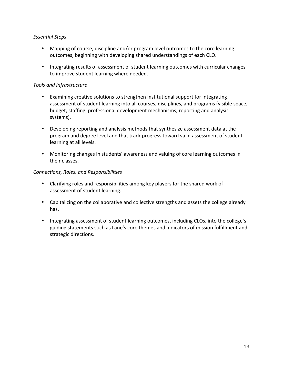# *Essential Steps*

- Mapping of course, discipline and/or program level outcomes to the core learning outcomes, beginning with developing shared understandings of each CLO.
- Integrating results of assessment of student learning outcomes with curricular changes to improve student learning where needed.

# *Tools and Infrastructure*

- Examining creative solutions to strengthen institutional support for integrating assessment of student learning into all courses, disciplines, and programs (visible space, budget, staffing, professional development mechanisms, reporting and analysis systems).
- Developing reporting and analysis methods that synthesize assessment data at the program and degree level and that track progress toward valid assessment of student learning at all levels.
- Monitoring changes in students' awareness and valuing of core learning outcomes in their classes.

# *Connections, Roles, and Responsibilities*

- Clarifying roles and responsibilities among key players for the shared work of assessment of student learning.
- Capitalizing on the collaborative and collective strengths and assets the college already has.
- Integrating assessment of student learning outcomes, including CLOs, into the college's guiding statements such as Lane's core themes and indicators of mission fulfillment and strategic directions.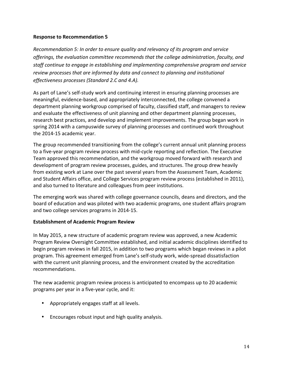*Recommendation 5: In order to ensure quality and relevancy of its program and service* offerings, the evaluation committee recommends that the college administration, faculty, and staff continue to engage in establishing and implementing comprehensive program and service *review processes that are informed by data and connect to planning and institutional effectiveness processes (Standard 2.C and 4.A).* 

As part of Lane's self-study work and continuing interest in ensuring planning processes are meaningful, evidence-based, and appropriately interconnected, the college convened a department planning workgroup comprised of faculty, classified staff, and managers to review and evaluate the effectiveness of unit planning and other department planning processes, research best practices, and develop and implement improvements. The group began work in spring 2014 with a campuswide survey of planning processes and continued work throughout the 2014-15 academic year.

The group recommended transitioning from the college's current annual unit planning process to a five-year program review process with mid-cycle reporting and reflection. The Executive Team approved this recommendation, and the workgroup moved forward with research and development of program review processes, guides, and structures. The group drew heavily from existing work at Lane over the past several years from the Assessment Team, Academic and Student Affairs office, and College Services program review process (established in 2011), and also turned to literature and colleagues from peer institutions.

The emerging work was shared with college governance councils, deans and directors, and the board of education and was piloted with two academic programs, one student affairs program and two college services programs in 2014-15.

# **Establishment of Academic Program Review**

In May 2015, a new structure of academic program review was approved, a new Academic Program Review Oversight Committee established, and initial academic disciplines identified to begin program reviews in fall 2015, in addition to two programs which began reviews in a pilot program. This agreement emerged from Lane's self-study work, wide-spread dissatisfaction with the current unit planning process, and the environment created by the accreditation recommendations.

The new academic program review process is anticipated to encompass up to 20 academic programs per year in a five-year cycle, and it:

- Appropriately engages staff at all levels.
- Encourages robust input and high quality analysis.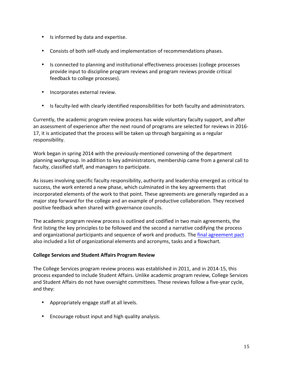- Is informed by data and expertise.
- Consists of both self-study and implementation of recommendations phases.
- Is connected to planning and institutional effectiveness processes (college processes provide input to discipline program reviews and program reviews provide critical feedback to college processes).
- Incorporates external review.
- Is faculty-led with clearly identified responsibilities for both faculty and administrators.

Currently, the academic program review process has wide voluntary faculty support, and after an assessment of experience after the next round of programs are selected for reviews in 2016-17, it is anticipated that the process will be taken up through bargaining as a regular responsibility.

Work began in spring 2014 with the previously-mentioned convening of the department planning workgroup. In addition to key administrators, membership came from a general call to faculty, classified staff, and managers to participate.

As issues involving specific faculty responsibility, authority and leadership emerged as critical to success, the work entered a new phase, which culminated in the key agreements that incorporated elements of the work to that point. These agreements are generally regarded as a major step forward for the college and an example of productive collaboration. They received positive feedback when shared with governance councils.

The academic program review process is outlined and codified in two main agreements, the first listing the key principles to be followed and the second a narrative codifying the process and organizational participants and sequence of work and products. The final agreement pact also included a list of organizational elements and acronyms, tasks and a flowchart.

# **College Services and Student Affairs Program Review**

The College Services program review process was established in 2011, and in 2014-15, this process expanded to include Student Affairs. Unlike academic program review, College Services and Student Affairs do not have oversight committees. These reviews follow a five-year cycle, and they:

- Appropriately engage staff at all levels.
- Encourage robust input and high quality analysis.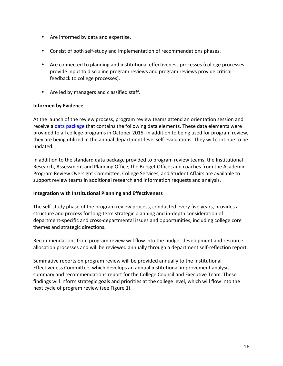- Are informed by data and expertise.
- Consist of both self-study and implementation of recommendations phases.
- Are connected to planning and institutional effectiveness processes (college processes provide input to discipline program reviews and program reviews provide critical feedback to college processes).
- Are led by managers and classified staff.

# **Informed by Evidence**

At the launch of the review process, program review teams attend an orientation session and receive a data package that contains the following data elements. These data elements were provided to all college programs in October 2015. In addition to being used for program review, they are being utilized in the annual department-level self-evaluations. They will continue to be updated.

In addition to the standard data package provided to program review teams, the Institutional Research, Assessment and Planning Office; the Budget Office; and coaches from the Academic Program Review Oversight Committee, College Services, and Student Affairs are available to support review teams in additional research and information requests and analysis.

# **Integration with Institutional Planning and Effectiveness**

The self-study phase of the program review process, conducted every five years, provides a structure and process for long-term strategic planning and in-depth consideration of department-specific and cross-departmental issues and opportunities, including college core themes and strategic directions.

Recommendations from program review will flow into the budget development and resource allocation processes and will be reviewed annually through a department self-reflection report.

Summative reports on program review will be provided annually to the Institutional Effectiveness Committee, which develops an annual institutional improvement analysis, summary and recommendations report for the College Council and Executive Team. These findings will inform strategic goals and priorities at the college level, which will flow into the next cycle of program review (see Figure 1).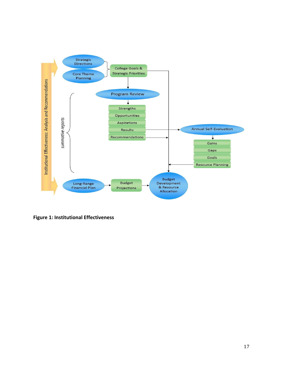

**Figure 1: Institutional Effectiveness**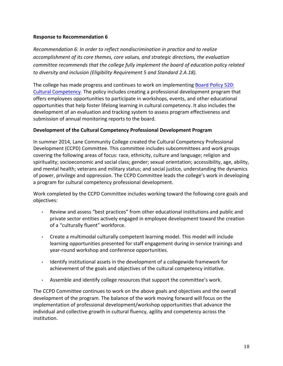*Recommendation 6: In order to reflect nondiscrimination in practice and to realize accomplishment of its core themes, core values, and strategic directions, the evaluation committee recommends that the college fully implement the board of education policy related to diversity and inclusion (Eligibility Requirement 5 and Standard 2.A.18).* 

The college has made progress and continues to work on implementing Board Policy 520: Cultural Competency. The policy includes creating a professional development program that offers employees opportunities to participate in workshops, events, and other educational opportunities that help foster lifelong learning in cultural competency. It also includes the development of an evaluation and tracking system to assess program effectiveness and submission of annual monitoring reports to the board.

#### **Development of the Cultural Competency Professional Development Program**

In summer 2014, Lane Community College created the Cultural Competency Professional Development (CCPD) Committee. This committee includes subcommittees and work groups covering the following areas of focus: race, ethnicity, culture and language; religion and spirituality; socioeconomic and social class; gender; sexual orientation; accessibility, age, ability, and mental health; veterans and military status; and social justice, understanding the dynamics of power, privilege and oppression. The CCPD Committee leads the college's work in developing a program for cultural competency professional development.

Work completed by the CCPD Committee includes working toward the following core goals and objectives:

- Review and assess "best practices" from other educational institutions and public and private sector entities actively engaged in employee development toward the creation of a "culturally fluent" workforce.
- Create a multimodal culturally competent learning model. This model will include learning opportunities presented for staff engagement during in-service trainings and year-round workshop and conference opportunities.
- Identify institutional assets in the development of a collegewide framework for achievement of the goals and objectives of the cultural competency initiative.
- Assemble and identify college resources that support the committee's work.

The CCPD Committee continues to work on the above goals and objectives and the overall development of the program. The balance of the work moving forward will focus on the implementation of professional development/workshop opportunities that advance the individual and collective growth in cultural fluency, agility and competency across the institution.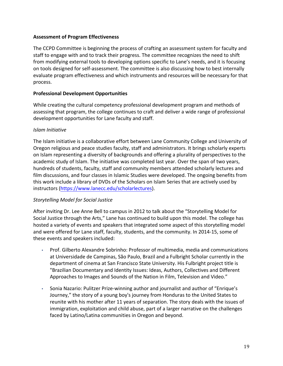#### **Assessment of Program Effectiveness**

The CCPD Committee is beginning the process of crafting an assessment system for faculty and staff to engage with and to track their progress. The committee recognizes the need to shift from modifying external tools to developing options specific to Lane's needs, and it is focusing on tools designed for self-assessment. The committee is also discussing how to best internally evaluate program effectiveness and which instruments and resources will be necessary for that process. 

#### **Professional Development Opportunities**

While creating the cultural competency professional development program and methods of assessing that program, the college continues to craft and deliver a wide range of professional development opportunities for Lane faculty and staff.

#### *Islam Initiative*

The Islam initiative is a collaborative effort between Lane Community College and University of Oregon religious and peace studies faculty, staff and administrators. It brings scholarly experts on Islam representing a diversity of backgrounds and offering a plurality of perspectives to the academic study of Islam. The initiative was completed last year. Over the span of two years, hundreds of students, faculty, staff and community members attended scholarly lectures and film discussions, and four classes in Islamic Studies were developed. The ongoing benefits from this work include a library of DVDs of the Scholars on Islam Series that are actively used by instructors (https://www.lanecc.edu/scholarlectures).

# *Storytelling Model for Social Justice*

After inviting Dr. Lee Anne Bell to campus in 2012 to talk about the "Storytelling Model for Social Justice through the Arts," Lane has continued to build upon this model. The college has hosted a variety of events and speakers that integrated some aspect of this storytelling model and were offered for Lane staff, faculty, students, and the community. In 2014-15, some of these events and speakers included:

- Prof. Gilberto Alexandre Sobrinho: Professor of multimedia, media and communications at Universidade de Campinas, São Paulo, Brazil and a Fulbright Scholar currently in the department of cinema at San Francisco State University. His Fulbright project title is "Brazilian Documentary and Identity Issues: Ideas, Authors, Collectives and Different Approaches to Images and Sounds of the Nation in Film, Television and Video."
- Sonia Nazario: Pulitzer Prize-winning author and journalist and author of "Enrique's Journey," the story of a young boy's journey from Honduras to the United States to reunite with his mother after 11 years of separation. The story deals with the issues of immigration, exploitation and child abuse, part of a larger narrative on the challenges faced by Latino/Latina communities in Oregon and beyond.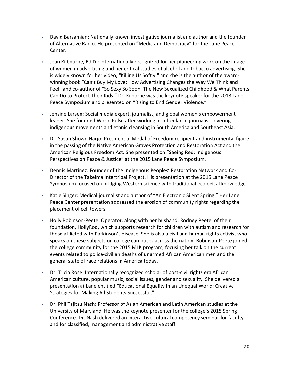- David Barsamian: Nationally known investigative journalist and author and the founder of Alternative Radio. He presented on "Media and Democracy" for the Lane Peace Center.
- Jean Kilbourne, Ed.D.: Internationally recognized for her pioneering work on the image of women in advertising and her critical studies of alcohol and tobacco advertising. She is widely known for her video, "Killing Us Softly," and she is the author of the awardwinning book "Can't Buy My Love: How Advertising Changes the Way We Think and Feel" and co-author of "So Sexy So Soon: The New Sexualized Childhood & What Parents Can Do to Protect Their Kids." Dr. Kilborne was the keynote speaker for the 2013 Lane Peace Symposium and presented on "Rising to End Gender Violence."
- Jensine Larsen: Social media expert, journalist, and global women's empowerment leader. She founded World Pulse after working as a freelance journalist covering indigenous movements and ethnic cleansing in South America and Southeast Asia.
- Dr. Susan Shown Harjo: Presidential Medal of Freedom recipient and instrumental figure in the passing of the Native American Graves Protection and Restoration Act and the American Religious Freedom Act. She presented on "Seeing Red: Indigenous Perspectives on Peace & Justice" at the 2015 Lane Peace Symposium.
- Dennis Martinez: Founder of the Indigenous Peoples' Restoration Network and Co-Director of the Takelma Intertribal Project. His presentation at the 2015 Lane Peace Symposium focused on bridging Western science with traditional ecological knowledge.
- Katie Singer: Medical journalist and author of "An Electronic Silent Spring." Her Lane Peace Center presentation addressed the erosion of community rights regarding the placement of cell towers.
- Holly Robinson-Peete: Operator, along with her husband, Rodney Peete, of their foundation, HollyRod, which supports research for children with autism and research for those afflicted with Parkinson's disease. She is also a civil and human rights activist who speaks on these subjects on college campuses across the nation. Robinson-Peete joined the college community for the 2015 MLK program, focusing her talk on the current events related to police-civilian deaths of unarmed African American men and the general state of race relations in America today.
- Dr. Tricia Rose: Internationally recognized scholar of post-civil rights era African American culture, popular music, social issues, gender and sexuality. She delivered a presentation at Lane entitled "Educational Equality in an Unequal World: Creative Strategies for Making All Students Successful."
- Dr. Phil Tajitsu Nash: Professor of Asian American and Latin American studies at the University of Maryland. He was the keynote presenter for the college's 2015 Spring Conference. Dr. Nash delivered an interactive cultural competency seminar for faculty and for classified, management and administrative staff.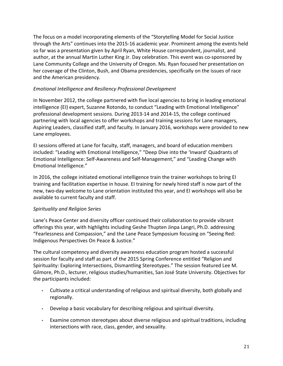The focus on a model incorporating elements of the "Storytelling Model for Social Justice through the Arts" continues into the 2015-16 academic year. Prominent among the events held so far was a presentation given by April Ryan, White House correspondent, journalist, and author, at the annual Martin Luther King Jr. Day celebration. This event was co-sponsored by Lane Community College and the University of Oregon. Ms. Ryan focused her presentation on her coverage of the Clinton, Bush, and Obama presidencies, specifically on the issues of race and the American presidency.

# *Emotional Intelligence and Resiliency Professional Development*

In November 2012, the college partnered with five local agencies to bring in leading emotional intelligence (EI) expert, Suzanne Rotondo, to conduct "Leading with Emotional Intelligence" professional development sessions. During 2013-14 and 2014-15, the college continued partnering with local agencies to offer workshops and training sessions for Lane managers, Aspiring Leaders, classified staff, and faculty. In January 2016, workshops were provided to new Lane employees.

EI sessions offered at Lane for faculty, staff, managers, and board of education members included: "Leading with Emotional Intelligence," "Deep Dive into the 'Inward' Quadrants of Emotional Intelligence: Self-Awareness and Self-Management," and "Leading Change with Emotional Intelligence."

In 2016, the college initiated emotional intelligence train the trainer workshops to bring EI training and facilitation expertise in house. El training for newly hired staff is now part of the new, two-day welcome to Lane orientation instituted this year, and EI workshops will also be available to current faculty and staff.

# *Spirituality and Religion Series*

Lane's Peace Center and diversity officer continued their collaboration to provide vibrant offerings this year, with highlights including Geshe Thupten Jinpa Langri, Ph.D. addressing "Fearlessness and Compassion," and the Lane Peace Symposium focusing on "Seeing Red: Indigenous Perspectives On Peace & Justice."

The cultural competency and diversity awareness education program hosted a successful session for faculty and staff as part of the 2015 Spring Conference entitled "Religion and Spirituality: Exploring Intersections, Dismantling Stereotypes." The session featured Lee M. Gilmore, Ph.D., lecturer, religious studies/humanities, San José State University. Objectives for the participants included:

- Cultivate a critical understanding of religious and spiritual diversity, both globally and regionally.
- Develop a basic vocabulary for describing religious and spiritual diversity.
- Examine common stereotypes about diverse religious and spiritual traditions, including intersections with race, class, gender, and sexuality.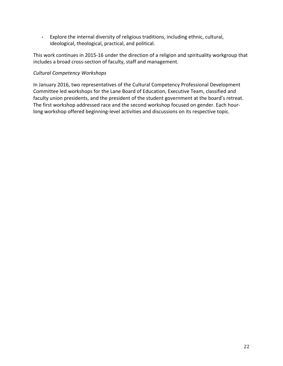• Explore the internal diversity of religious traditions, including ethnic, cultural, ideological, theological, practical, and political.

This work continues in 2015-16 under the direction of a religion and spirituality workgroup that includes a broad cross-section of faculty, staff and management.

#### *Cultural Competency Workshops*

In January 2016, two representatives of the Cultural Competency Professional Development Committee led workshops for the Lane Board of Education, Executive Team, classified and faculty union presidents, and the president of the student government at the board's retreat. The first workshop addressed race and the second workshop focused on gender. Each hourlong workshop offered beginning-level activities and discussions on its respective topic.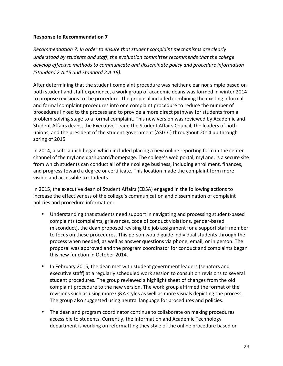*Recommendation 7: In order to ensure that student complaint mechanisms are clearly understood by students and staff, the evaluation committee recommends that the college* develop effective methods to communicate and disseminate policy and procedure information *(Standard 2.A.15 and Standard 2.A.18).*

After determining that the student complaint procedure was neither clear nor simple based on both student and staff experience, a work group of academic deans was formed in winter 2014 to propose revisions to the procedure. The proposal included combining the existing informal and formal complaint procedures into one complaint procedure to reduce the number of procedures linked to the process and to provide a more direct pathway for students from a problem-solving stage to a formal complaint. This new version was reviewed by Academic and Student Affairs deans, the Executive Team, the Student Affairs Council, the leaders of both unions, and the president of the student government (ASLCC) throughout 2014 up through spring of 2015.

In 2014, a soft launch began which included placing a new online reporting form in the center channel of the myLane dashboard/homepage. The college's web portal, myLane, is a secure site from which students can conduct all of their college business, including enrollment, finances, and progress toward a degree or certificate. This location made the complaint form more visible and accessible to students.

In 2015, the executive dean of Student Affairs (EDSA) engaged in the following actions to increase the effectiveness of the college's communication and dissemination of complaint policies and procedure information:

- Understanding that students need support in navigating and processing student-based complaints (complaints, grievances, code of conduct violations, gender-based misconduct), the dean proposed revising the job assignment for a support staff member to focus on these procedures. This person would guide individual students through the process when needed, as well as answer questions via phone, email, or in person. The proposal was approved and the program coordinator for conduct and complaints began this new function in October 2014.
- In February 2015, the dean met with student government leaders (senators and executive staff) at a regularly scheduled work session to consult on revisions to several student procedures. The group reviewed a highlight sheet of changes from the old complaint procedure to the new version. The work group affirmed the format of the revisions such as using more Q&A styles as well as more visuals depicting the process. The group also suggested using neutral language for procedures and policies.
- The dean and program coordinator continue to collaborate on making procedures accessible to students. Currently, the Information and Academic Technology department is working on reformatting they style of the online procedure based on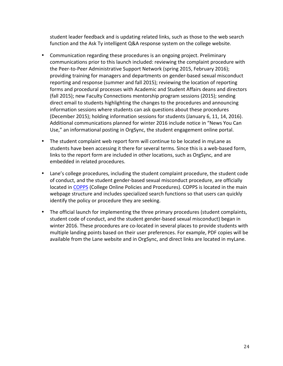student leader feedback and is updating related links, such as those to the web search function and the Ask Ty intelligent Q&A response system on the college website.

- Communication regarding these procedures is an ongoing project. Preliminary communications prior to this launch included: reviewing the complaint procedure with the Peer-to-Peer Administrative Support Network (spring 2015, February 2016); providing training for managers and departments on gender-based sexual misconduct reporting and response (summer and fall 2015); reviewing the location of reporting forms and procedural processes with Academic and Student Affairs deans and directors (fall 2015); new Faculty Connections mentorship program sessions (2015); sending direct email to students highlighting the changes to the procedures and announcing information sessions where students can ask questions about these procedures (December 2015); holding information sessions for students (January 6, 11, 14, 2016). Additional communications planned for winter 2016 include notice in "News You Can Use," an informational posting in OrgSync, the student engagement online portal.
- The student complaint web report form will continue to be located in myLane as students have been accessing it there for several terms. Since this is a web-based form, links to the report form are included in other locations, such as OrgSync, and are embedded in related procedures.
- Lane's college procedures, including the student complaint procedure, the student code of conduct, and the student gender-based sexual misconduct procedure, are officially located in COPPS (College Online Policies and Procedures). COPPS is located in the main webpage structure and includes specialized search functions so that users can quickly identify the policy or procedure they are seeking.
- The official launch for implementing the three primary procedures (student complaints, student code of conduct, and the student gender-based sexual misconduct) began in winter 2016. These procedures are co-located in several places to provide students with multiple landing points based on their user preferences. For example, PDF copies will be available from the Lane website and in OrgSync, and direct links are located in myLane.